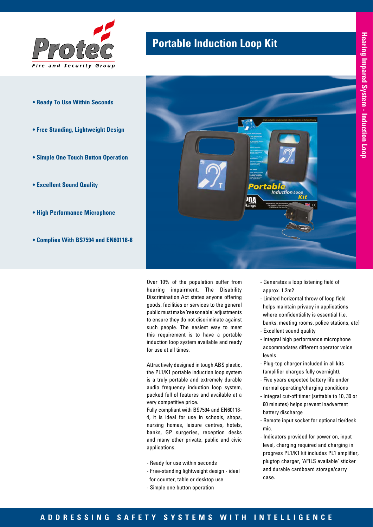

- **Ready To Use Within Seconds**
- **Free Standing, Lightweight Design**
- **Simple One Touch Button Operation**
- **Excellent Sound Quality**
- **High Performance Microphone**
- **Complies With BS7594 and EN60118-8**

## **Portable Induction Loop Kit**



Over 10% of the population suffer from hearing impairment. The Disability Discrimination Act states anyone offering goods, facilities or services to the general public must make 'reasonable' adjustments to ensure they do not discriminate against such people. The easiest way to meet this requirement is to have a portable induction loop system available and ready for use at all times.

Attractively designed in tough ABS plastic, the PL1/K1 portable induction loop system is a truly portable and extremely durable audio frequency induction loop system, packed full of features and available at a very competitive price.

Fully compliant with BS7594 and EN60118- 4, it is ideal for use in schools, shops, nursing homes, leisure centres, hotels, banks, GP surgeries, reception desks and many other private, public and civic applications.

- Ready for use within seconds
- Free-standing lightweight design ideal for counter, table or desktop use
- Simple one button operation
- Generates a loop listening field of approx. 1.2m2
- Limited horizontal throw of loop field helps maintain privacy in applications where confidentiality is essential (i.e. banks, meeting rooms, police stations, etc)
- Excellent sound quality
- Integral high performance microphone accommodates different operator voice levels
- Plug-top charger included in all kits (amplifier charges fully overnight).
- Five years expected battery life under normal operating/charging conditions
- Integral cut-off timer (settable to 10, 30 or 60 minutes) helps prevent inadvertent battery discharge
- Remote input socket for optional tie/desk mic.
- Indicators provided for power on, input level, charging required and charging in progress PL1/K1 kit includes PL1 amplifier, plugtop charger, 'AFILS available' sticker and durable cardboard storage/carry case.